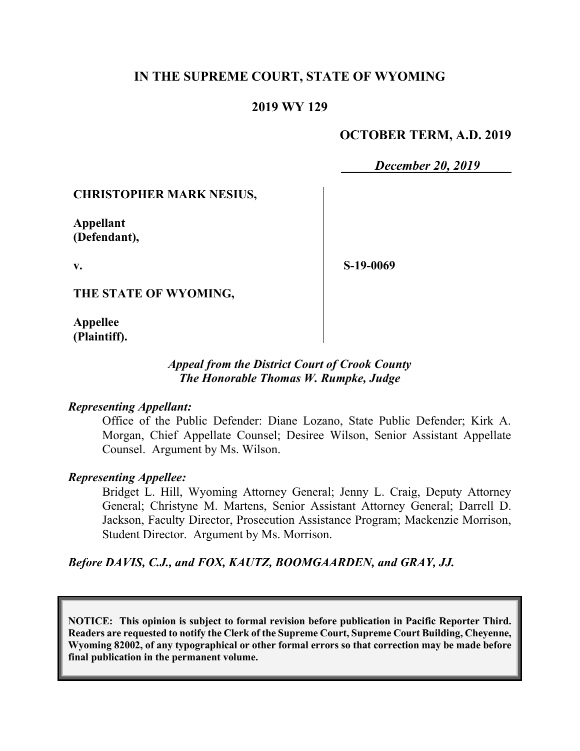# **IN THE SUPREME COURT, STATE OF WYOMING**

## **2019 WY 129**

## **OCTOBER TERM, A.D. 2019**

*December 20, 2019*

### **CHRISTOPHER MARK NESIUS,**

**Appellant (Defendant),**

**v.**

**S-19-0069**

**THE STATE OF WYOMING,**

**Appellee (Plaintiff).**

### *Appeal from the District Court of Crook County The Honorable Thomas W. Rumpke, Judge*

#### *Representing Appellant:*

Office of the Public Defender: Diane Lozano, State Public Defender; Kirk A. Morgan, Chief Appellate Counsel; Desiree Wilson, Senior Assistant Appellate Counsel. Argument by Ms. Wilson.

#### *Representing Appellee:*

Bridget L. Hill, Wyoming Attorney General; Jenny L. Craig, Deputy Attorney General; Christyne M. Martens, Senior Assistant Attorney General; Darrell D. Jackson, Faculty Director, Prosecution Assistance Program; Mackenzie Morrison, Student Director. Argument by Ms. Morrison.

*Before DAVIS, C.J., and FOX, KAUTZ, BOOMGAARDEN, and GRAY, JJ.*

**NOTICE: This opinion is subject to formal revision before publication in Pacific Reporter Third. Readers are requested to notify the Clerk of the Supreme Court, Supreme Court Building, Cheyenne, Wyoming 82002, of any typographical or other formal errors so that correction may be made before final publication in the permanent volume.**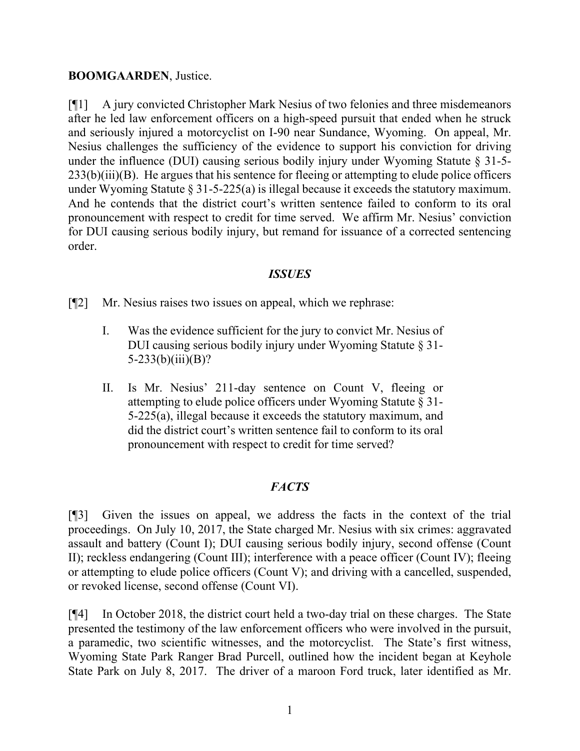### **BOOMGAARDEN**, Justice.

[¶1] A jury convicted Christopher Mark Nesius of two felonies and three misdemeanors after he led law enforcement officers on a high-speed pursuit that ended when he struck and seriously injured a motorcyclist on I-90 near Sundance, Wyoming. On appeal, Mr. Nesius challenges the sufficiency of the evidence to support his conviction for driving under the influence (DUI) causing serious bodily injury under Wyoming Statute § 31-5-  $233(b)(iii)(B)$ . He argues that his sentence for fleeing or attempting to elude police officers under Wyoming Statute § 31-5-225(a) is illegal because it exceeds the statutory maximum. And he contends that the district court's written sentence failed to conform to its oral pronouncement with respect to credit for time served. We affirm Mr. Nesius' conviction for DUI causing serious bodily injury, but remand for issuance of a corrected sentencing order.

## *ISSUES*

[¶2] Mr. Nesius raises two issues on appeal, which we rephrase:

- I. Was the evidence sufficient for the jury to convict Mr. Nesius of DUI causing serious bodily injury under Wyoming Statute § 31-  $5-233(b)(iii)(B)?$
- II. Is Mr. Nesius' 211-day sentence on Count V, fleeing or attempting to elude police officers under Wyoming Statute § 31- 5-225(a), illegal because it exceeds the statutory maximum, and did the district court's written sentence fail to conform to its oral pronouncement with respect to credit for time served?

# *FACTS*

[¶3] Given the issues on appeal, we address the facts in the context of the trial proceedings. On July 10, 2017, the State charged Mr. Nesius with six crimes: aggravated assault and battery (Count I); DUI causing serious bodily injury, second offense (Count II); reckless endangering (Count III); interference with a peace officer (Count IV); fleeing or attempting to elude police officers (Count V); and driving with a cancelled, suspended, or revoked license, second offense (Count VI).

[¶4] In October 2018, the district court held a two-day trial on these charges. The State presented the testimony of the law enforcement officers who were involved in the pursuit, a paramedic, two scientific witnesses, and the motorcyclist. The State's first witness, Wyoming State Park Ranger Brad Purcell, outlined how the incident began at Keyhole State Park on July 8, 2017. The driver of a maroon Ford truck, later identified as Mr.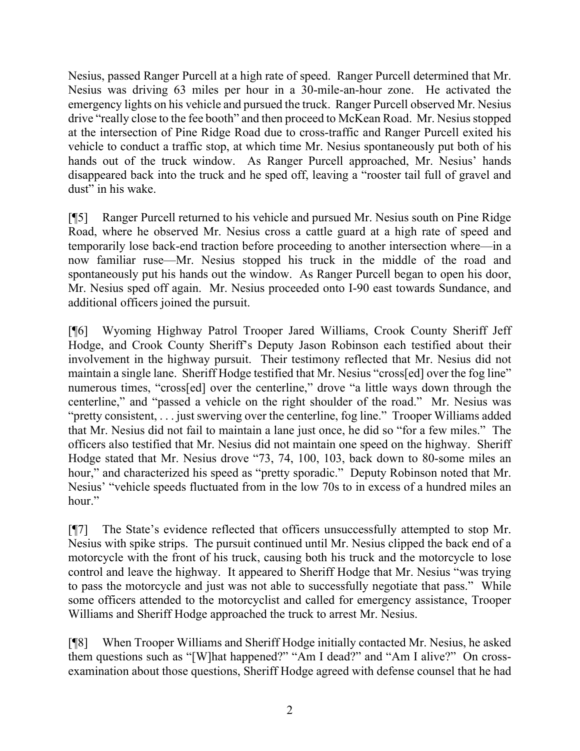Nesius, passed Ranger Purcell at a high rate of speed. Ranger Purcell determined that Mr. Nesius was driving 63 miles per hour in a 30-mile-an-hour zone. He activated the emergency lights on his vehicle and pursued the truck. Ranger Purcell observed Mr. Nesius drive "really close to the fee booth" and then proceed to McKean Road. Mr. Nesius stopped at the intersection of Pine Ridge Road due to cross-traffic and Ranger Purcell exited his vehicle to conduct a traffic stop, at which time Mr. Nesius spontaneously put both of his hands out of the truck window. As Ranger Purcell approached, Mr. Nesius' hands disappeared back into the truck and he sped off, leaving a "rooster tail full of gravel and dust" in his wake.

[¶5] Ranger Purcell returned to his vehicle and pursued Mr. Nesius south on Pine Ridge Road, where he observed Mr. Nesius cross a cattle guard at a high rate of speed and temporarily lose back-end traction before proceeding to another intersection where—in a now familiar ruse—Mr. Nesius stopped his truck in the middle of the road and spontaneously put his hands out the window. As Ranger Purcell began to open his door, Mr. Nesius sped off again. Mr. Nesius proceeded onto I-90 east towards Sundance, and additional officers joined the pursuit.

[¶6] Wyoming Highway Patrol Trooper Jared Williams, Crook County Sheriff Jeff Hodge, and Crook County Sheriff's Deputy Jason Robinson each testified about their involvement in the highway pursuit. Their testimony reflected that Mr. Nesius did not maintain a single lane. Sheriff Hodge testified that Mr. Nesius "cross[ed] over the fog line" numerous times, "cross[ed] over the centerline," drove "a little ways down through the centerline," and "passed a vehicle on the right shoulder of the road." Mr. Nesius was "pretty consistent, . . . just swerving over the centerline, fog line." Trooper Williams added that Mr. Nesius did not fail to maintain a lane just once, he did so "for a few miles." The officers also testified that Mr. Nesius did not maintain one speed on the highway. Sheriff Hodge stated that Mr. Nesius drove "73, 74, 100, 103, back down to 80-some miles an hour," and characterized his speed as "pretty sporadic." Deputy Robinson noted that Mr. Nesius' "vehicle speeds fluctuated from in the low 70s to in excess of a hundred miles an hour."

[¶7] The State's evidence reflected that officers unsuccessfully attempted to stop Mr. Nesius with spike strips. The pursuit continued until Mr. Nesius clipped the back end of a motorcycle with the front of his truck, causing both his truck and the motorcycle to lose control and leave the highway. It appeared to Sheriff Hodge that Mr. Nesius "was trying to pass the motorcycle and just was not able to successfully negotiate that pass." While some officers attended to the motorcyclist and called for emergency assistance, Trooper Williams and Sheriff Hodge approached the truck to arrest Mr. Nesius.

[¶8] When Trooper Williams and Sheriff Hodge initially contacted Mr. Nesius, he asked them questions such as "[W]hat happened?" "Am I dead?" and "Am I alive?" On crossexamination about those questions, Sheriff Hodge agreed with defense counsel that he had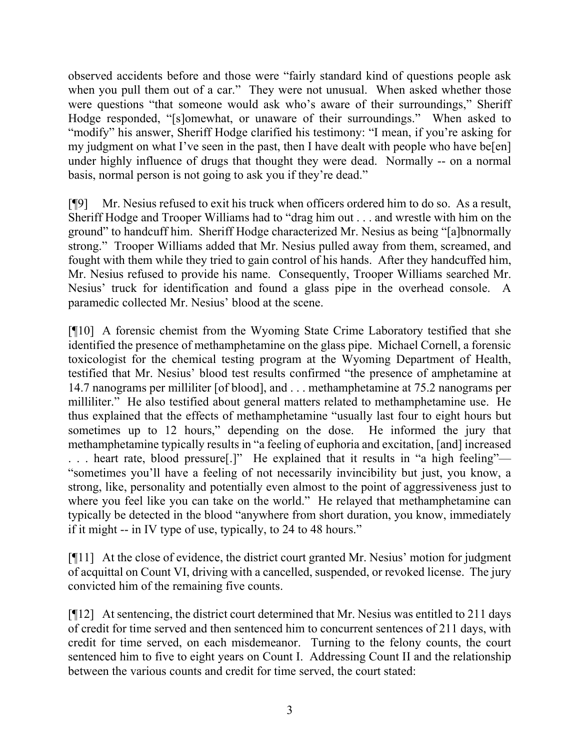observed accidents before and those were "fairly standard kind of questions people ask when you pull them out of a car." They were not unusual. When asked whether those were questions "that someone would ask who's aware of their surroundings," Sheriff Hodge responded, "[s]omewhat, or unaware of their surroundings." When asked to "modify" his answer, Sheriff Hodge clarified his testimony: "I mean, if you're asking for my judgment on what I've seen in the past, then I have dealt with people who have be[en] under highly influence of drugs that thought they were dead. Normally -- on a normal basis, normal person is not going to ask you if they're dead."

[¶9] Mr. Nesius refused to exit his truck when officers ordered him to do so. As a result, Sheriff Hodge and Trooper Williams had to "drag him out . . . and wrestle with him on the ground" to handcuff him. Sheriff Hodge characterized Mr. Nesius as being "[a]bnormally strong." Trooper Williams added that Mr. Nesius pulled away from them, screamed, and fought with them while they tried to gain control of his hands. After they handcuffed him, Mr. Nesius refused to provide his name. Consequently, Trooper Williams searched Mr. Nesius' truck for identification and found a glass pipe in the overhead console. A paramedic collected Mr. Nesius' blood at the scene.

[¶10] A forensic chemist from the Wyoming State Crime Laboratory testified that she identified the presence of methamphetamine on the glass pipe. Michael Cornell, a forensic toxicologist for the chemical testing program at the Wyoming Department of Health, testified that Mr. Nesius' blood test results confirmed "the presence of amphetamine at 14.7 nanograms per milliliter [of blood], and . . . methamphetamine at 75.2 nanograms per milliliter." He also testified about general matters related to methamphetamine use. He thus explained that the effects of methamphetamine "usually last four to eight hours but sometimes up to 12 hours," depending on the dose. He informed the jury that methamphetamine typically results in "a feeling of euphoria and excitation, [and] increased . . . heart rate, blood pressure[.]" He explained that it results in "a high feeling"— "sometimes you'll have a feeling of not necessarily invincibility but just, you know, a strong, like, personality and potentially even almost to the point of aggressiveness just to where you feel like you can take on the world." He relayed that methamphetamine can typically be detected in the blood "anywhere from short duration, you know, immediately if it might -- in IV type of use, typically, to 24 to 48 hours."

[¶11] At the close of evidence, the district court granted Mr. Nesius' motion for judgment of acquittal on Count VI, driving with a cancelled, suspended, or revoked license. The jury convicted him of the remaining five counts.

[¶12] At sentencing, the district court determined that Mr. Nesius was entitled to 211 days of credit for time served and then sentenced him to concurrent sentences of 211 days, with credit for time served, on each misdemeanor. Turning to the felony counts, the court sentenced him to five to eight years on Count I. Addressing Count II and the relationship between the various counts and credit for time served, the court stated: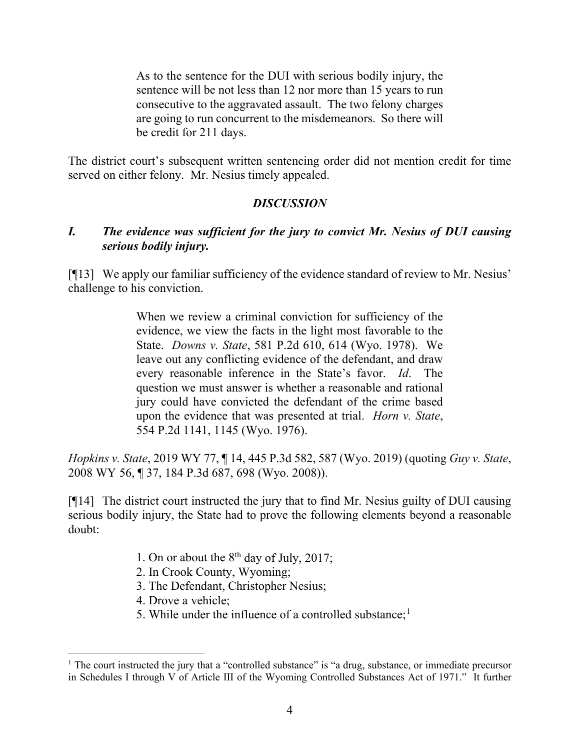As to the sentence for the DUI with serious bodily injury, the sentence will be not less than 12 nor more than 15 years to run consecutive to the aggravated assault. The two felony charges are going to run concurrent to the misdemeanors. So there will be credit for 211 days.

The district court's subsequent written sentencing order did not mention credit for time served on either felony. Mr. Nesius timely appealed.

# *DISCUSSION*

# *I. The evidence was sufficient for the jury to convict Mr. Nesius of DUI causing serious bodily injury.*

[¶13] We apply our familiar sufficiency of the evidence standard of review to Mr. Nesius' challenge to his conviction.

> When we review a criminal conviction for sufficiency of the evidence, we view the facts in the light most favorable to the State. *Downs v. State*, 581 P.2d 610, 614 (Wyo. 1978). We leave out any conflicting evidence of the defendant, and draw every reasonable inference in the State's favor. *Id*. The question we must answer is whether a reasonable and rational jury could have convicted the defendant of the crime based upon the evidence that was presented at trial. *Horn v. State*, 554 P.2d 1141, 1145 (Wyo. 1976).

*Hopkins v. State*, 2019 WY 77, ¶ 14, 445 P.3d 582, 587 (Wyo. 2019) (quoting *Guy v. State*, 2008 WY 56, ¶ 37, 184 P.3d 687, 698 (Wyo. 2008)).

[¶14] The district court instructed the jury that to find Mr. Nesius guilty of DUI causing serious bodily injury, the State had to prove the following elements beyond a reasonable doubt:

- 1. On or about the  $8<sup>th</sup>$  day of July, 2017;
- 2. In Crook County, Wyoming;
- 3. The Defendant, Christopher Nesius;
- 4. Drove a vehicle;
- 5. While under the influence of a controlled substance;<sup>[1](#page-4-0)</sup>

<span id="page-4-0"></span><sup>&</sup>lt;sup>1</sup> The court instructed the jury that a "controlled substance" is "a drug, substance, or immediate precursor in Schedules I through V of Article III of the Wyoming Controlled Substances Act of 1971." It further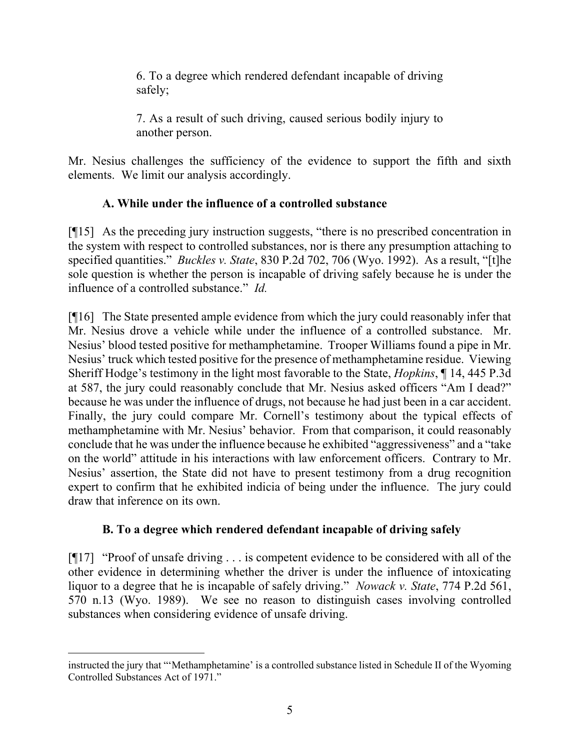6. To a degree which rendered defendant incapable of driving safely;

7. As a result of such driving, caused serious bodily injury to another person.

Mr. Nesius challenges the sufficiency of the evidence to support the fifth and sixth elements. We limit our analysis accordingly.

# **A. While under the influence of a controlled substance**

[¶15] As the preceding jury instruction suggests, "there is no prescribed concentration in the system with respect to controlled substances, nor is there any presumption attaching to specified quantities." *Buckles v. State*, 830 P.2d 702, 706 (Wyo. 1992). As a result, "[t]he sole question is whether the person is incapable of driving safely because he is under the influence of a controlled substance." *Id.* 

[¶16] The State presented ample evidence from which the jury could reasonably infer that Mr. Nesius drove a vehicle while under the influence of a controlled substance. Mr. Nesius' blood tested positive for methamphetamine. Trooper Williams found a pipe in Mr. Nesius' truck which tested positive for the presence of methamphetamine residue. Viewing Sheriff Hodge's testimony in the light most favorable to the State, *Hopkins*, ¶ 14, 445 P.3d at 587, the jury could reasonably conclude that Mr. Nesius asked officers "Am I dead?" because he was under the influence of drugs, not because he had just been in a car accident. Finally, the jury could compare Mr. Cornell's testimony about the typical effects of methamphetamine with Mr. Nesius' behavior. From that comparison, it could reasonably conclude that he was under the influence because he exhibited "aggressiveness" and a "take on the world" attitude in his interactions with law enforcement officers. Contrary to Mr. Nesius' assertion, the State did not have to present testimony from a drug recognition expert to confirm that he exhibited indicia of being under the influence. The jury could draw that inference on its own.

# **B. To a degree which rendered defendant incapable of driving safely**

[¶17] "Proof of unsafe driving . . . is competent evidence to be considered with all of the other evidence in determining whether the driver is under the influence of intoxicating liquor to a degree that he is incapable of safely driving." *Nowack v. State*, 774 P.2d 561, 570 n.13 (Wyo. 1989). We see no reason to distinguish cases involving controlled substances when considering evidence of unsafe driving.

instructed the jury that "'Methamphetamine' is a controlled substance listed in Schedule II of the Wyoming Controlled Substances Act of 1971."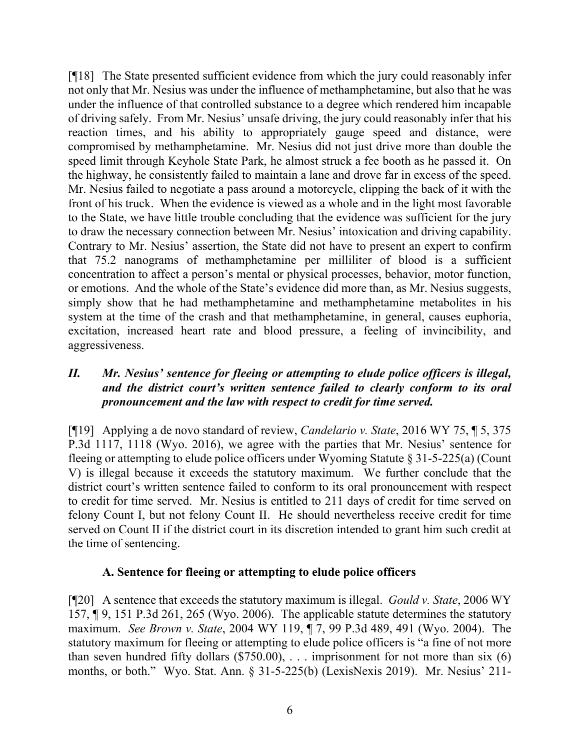[¶18] The State presented sufficient evidence from which the jury could reasonably infer not only that Mr. Nesius was under the influence of methamphetamine, but also that he was under the influence of that controlled substance to a degree which rendered him incapable of driving safely. From Mr. Nesius' unsafe driving, the jury could reasonably infer that his reaction times, and his ability to appropriately gauge speed and distance, were compromised by methamphetamine. Mr. Nesius did not just drive more than double the speed limit through Keyhole State Park, he almost struck a fee booth as he passed it. On the highway, he consistently failed to maintain a lane and drove far in excess of the speed. Mr. Nesius failed to negotiate a pass around a motorcycle, clipping the back of it with the front of his truck. When the evidence is viewed as a whole and in the light most favorable to the State, we have little trouble concluding that the evidence was sufficient for the jury to draw the necessary connection between Mr. Nesius' intoxication and driving capability. Contrary to Mr. Nesius' assertion, the State did not have to present an expert to confirm that 75.2 nanograms of methamphetamine per milliliter of blood is a sufficient concentration to affect a person's mental or physical processes, behavior, motor function, or emotions. And the whole of the State's evidence did more than, as Mr. Nesius suggests, simply show that he had methamphetamine and methamphetamine metabolites in his system at the time of the crash and that methamphetamine, in general, causes euphoria, excitation, increased heart rate and blood pressure, a feeling of invincibility, and aggressiveness.

# *II. Mr. Nesius' sentence for fleeing or attempting to elude police officers is illegal, and the district court's written sentence failed to clearly conform to its oral pronouncement and the law with respect to credit for time served.*

[¶19] Applying a de novo standard of review, *Candelario v. State*, 2016 WY 75, ¶ 5, 375 P.3d 1117, 1118 (Wyo. 2016), we agree with the parties that Mr. Nesius' sentence for fleeing or attempting to elude police officers under Wyoming Statute § 31-5-225(a) (Count V) is illegal because it exceeds the statutory maximum. We further conclude that the district court's written sentence failed to conform to its oral pronouncement with respect to credit for time served. Mr. Nesius is entitled to 211 days of credit for time served on felony Count I, but not felony Count II. He should nevertheless receive credit for time served on Count II if the district court in its discretion intended to grant him such credit at the time of sentencing.

## **A. Sentence for fleeing or attempting to elude police officers**

[¶20] A sentence that exceeds the statutory maximum is illegal. *Gould v. State*, 2006 WY 157, ¶ 9, 151 P.3d 261, 265 (Wyo. 2006). The applicable statute determines the statutory maximum. *See Brown v. State*, 2004 WY 119, ¶ 7, 99 P.3d 489, 491 (Wyo. 2004). The statutory maximum for fleeing or attempting to elude police officers is "a fine of not more than seven hundred fifty dollars  $(\$750.00)$ , ... imprisonment for not more than six  $(6)$ months, or both." Wyo. Stat. Ann. § 31-5-225(b) (LexisNexis 2019). Mr. Nesius' 211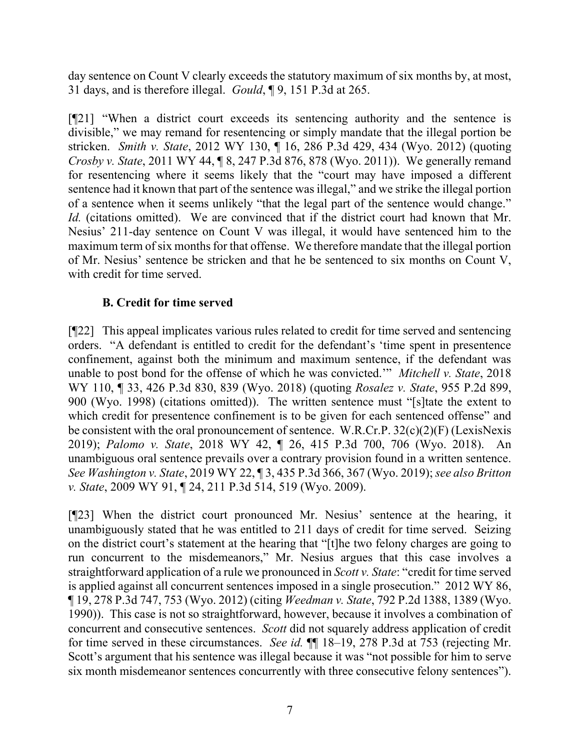day sentence on Count V clearly exceeds the statutory maximum of six months by, at most, 31 days, and is therefore illegal. *Gould*, ¶ 9, 151 P.3d at 265.

[¶21] "When a district court exceeds its sentencing authority and the sentence is divisible," we may remand for resentencing or simply mandate that the illegal portion be stricken. *Smith v. State*, 2012 WY 130, ¶ 16, 286 P.3d 429, 434 (Wyo. 2012) (quoting *Crosby v. State*, 2011 WY 44, ¶ 8, 247 P.3d 876, 878 (Wyo. 2011)). We generally remand for resentencing where it seems likely that the "court may have imposed a different sentence had it known that part of the sentence was illegal," and we strike the illegal portion of a sentence when it seems unlikely "that the legal part of the sentence would change." *Id.* (citations omitted). We are convinced that if the district court had known that Mr. Nesius' 211-day sentence on Count V was illegal, it would have sentenced him to the maximum term of six months for that offense. We therefore mandate that the illegal portion of Mr. Nesius' sentence be stricken and that he be sentenced to six months on Count V, with credit for time served.

# **B. Credit for time served**

[¶22] This appeal implicates various rules related to credit for time served and sentencing orders. "A defendant is entitled to credit for the defendant's 'time spent in presentence confinement, against both the minimum and maximum sentence, if the defendant was unable to post bond for the offense of which he was convicted.'" *Mitchell v. State*, 2018 WY 110, ¶ 33, 426 P.3d 830, 839 (Wyo. 2018) (quoting *Rosalez v. State*, 955 P.2d 899, 900 (Wyo. 1998) (citations omitted)). The written sentence must "[s]tate the extent to which credit for presentence confinement is to be given for each sentenced offense" and be consistent with the oral pronouncement of sentence. W.R.Cr.P. 32(c)(2)(F) (LexisNexis 2019); *Palomo v. State*, 2018 WY 42, ¶ 26, 415 P.3d 700, 706 (Wyo. 2018). An unambiguous oral sentence prevails over a contrary provision found in a written sentence. *See Washington v. State*, 2019 WY 22, ¶ 3, 435 P.3d 366, 367 (Wyo. 2019); *see also Britton v. State*, 2009 WY 91, ¶ 24, 211 P.3d 514, 519 (Wyo. 2009).

[¶23] When the district court pronounced Mr. Nesius' sentence at the hearing, it unambiguously stated that he was entitled to 211 days of credit for time served. Seizing on the district court's statement at the hearing that "[t]he two felony charges are going to run concurrent to the misdemeanors," Mr. Nesius argues that this case involves a straightforward application of a rule we pronounced in *Scott v. State*: "credit for time served is applied against all concurrent sentences imposed in a single prosecution." 2012 WY 86, ¶ 19, 278 P.3d 747, 753 (Wyo. 2012) (citing *Weedman v. State*, 792 P.2d 1388, 1389 (Wyo. 1990)). This case is not so straightforward, however, because it involves a combination of concurrent and consecutive sentences. *Scott* did not squarely address application of credit for time served in these circumstances. *See id.* ¶¶ 18–19, 278 P.3d at 753 (rejecting Mr. Scott's argument that his sentence was illegal because it was "not possible for him to serve six month misdemeanor sentences concurrently with three consecutive felony sentences").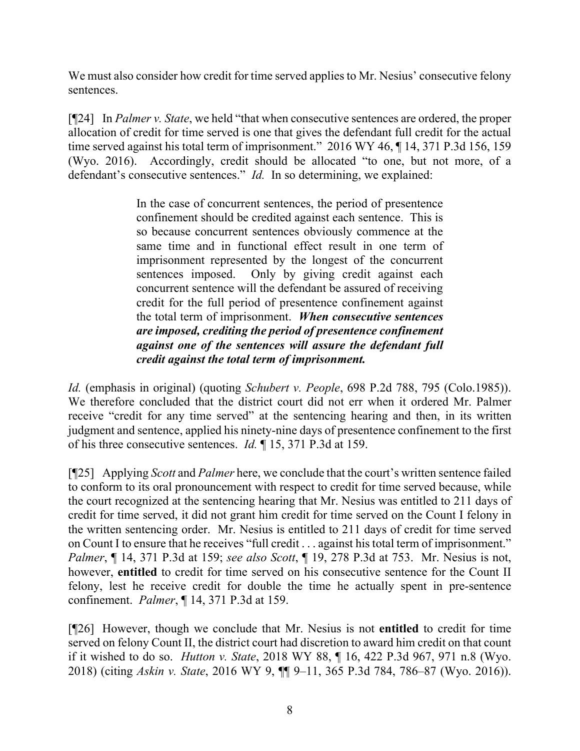We must also consider how credit for time served applies to Mr. Nesius' consecutive felony sentences.

[¶24] In *Palmer v. State*, we held "that when consecutive sentences are ordered, the proper allocation of credit for time served is one that gives the defendant full credit for the actual time served against his total term of imprisonment." 2016 WY 46,  $\P$  14, 371 P.3d 156, 159 (Wyo. 2016). Accordingly, credit should be allocated "to one, but not more, of a defendant's consecutive sentences." *Id.* In so determining, we explained:

> In the case of concurrent sentences, the period of presentence confinement should be credited against each sentence. This is so because concurrent sentences obviously commence at the same time and in functional effect result in one term of imprisonment represented by the longest of the concurrent sentences imposed. Only by giving credit against each concurrent sentence will the defendant be assured of receiving credit for the full period of presentence confinement against the total term of imprisonment. *When consecutive sentences are imposed, crediting the period of presentence confinement against one of the sentences will assure the defendant full credit against the total term of imprisonment.*

*Id.* (emphasis in original) (quoting *Schubert v. People*, 698 P.2d 788, 795 (Colo.1985)). We therefore concluded that the district court did not err when it ordered Mr. Palmer receive "credit for any time served" at the sentencing hearing and then, in its written judgment and sentence, applied his ninety-nine days of presentence confinement to the first of his three consecutive sentences. *Id.* ¶ 15, 371 P.3d at 159.

[¶25] Applying *Scott* and *Palmer* here, we conclude that the court's written sentence failed to conform to its oral pronouncement with respect to credit for time served because, while the court recognized at the sentencing hearing that Mr. Nesius was entitled to 211 days of credit for time served, it did not grant him credit for time served on the Count I felony in the written sentencing order. Mr. Nesius is entitled to 211 days of credit for time served on Count I to ensure that he receives "full credit . . . against his total term of imprisonment." *Palmer*, ¶ 14, 371 P.3d at 159; *see also Scott*, ¶ 19, 278 P.3d at 753. Mr. Nesius is not, however, **entitled** to credit for time served on his consecutive sentence for the Count II felony, lest he receive credit for double the time he actually spent in pre-sentence confinement. *Palmer*, ¶ 14, 371 P.3d at 159.

[¶26] However, though we conclude that Mr. Nesius is not **entitled** to credit for time served on felony Count II, the district court had discretion to award him credit on that count if it wished to do so. *Hutton v. State*, 2018 WY 88, ¶ 16, 422 P.3d 967, 971 n.8 (Wyo. 2018) (citing *Askin v. State*, 2016 WY 9, ¶¶ 9–11, 365 P.3d 784, 786–87 (Wyo. 2016)).